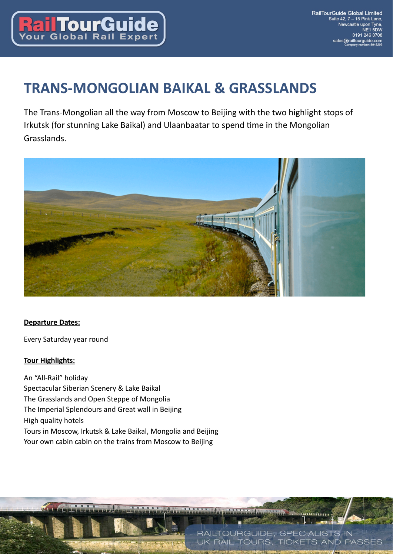

# **TRANS-MONGOLIAN BAIKAL & GRASSLANDS**

The Trans-Mongolian all the way from Moscow to Beijing with the two highlight stops of Irkutsk (for stunning Lake Baikal) and Ulaanbaatar to spend time in the Mongolian Grasslands.



### **Departure Dates:**

Every Saturday year round

#### **Tour Highlights:**

 $\overline{\mathbf{u}}$ 

An "All-Rail" holiday Spectacular Siberian Scenery & Lake Baikal The Grasslands and Open Steppe of Mongolia The Imperial Splendours and Great wall in Beijing High quality hotels Tours in Moscow, Irkutsk & Lake Baikal, Mongolia and Beijing Your own cabin cabin on the trains from Moscow to Beijing

**Digital Hitting** 

RAILTOURGUIDE, SPECIALISTS IN **RAIL TOURS. TICKETS AND PASSES**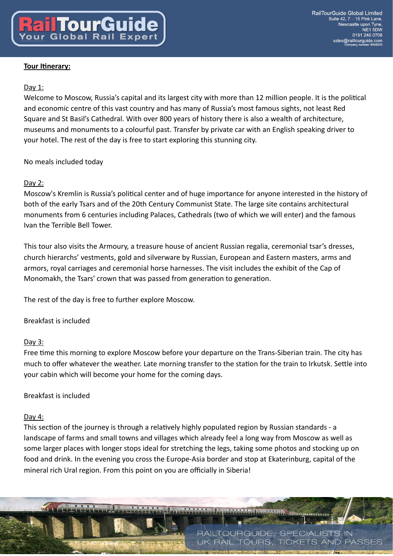## Day 1:

Welcome to Moscow, Russia's capital and its largest city with more than 12 million people. It is the political and economic centre of this vast country and has many of Russia's most famous sights, not least Red Square and St Basil's Cathedral. With over 800 years of history there is also a wealth of architecture, museums and monuments to a colourful past. Transfer by private car with an English speaking driver to your hotel. The rest of the day is free to start exploring this stunning city.

# No meals included today

## Day 2:

Moscow's Kremlin is Russia's political center and of huge importance for anyone interested in the history of both of the early Tsars and of the 20th Century Communist State. The large site contains architectural monuments from 6 centuries including Palaces, Cathedrals (two of which we will enter) and the famous Ivan the Terrible Bell Tower.

This tour also visits the Armoury, a treasure house of ancient Russian regalia, ceremonial tsar's dresses, church hierarchs' vestments, gold and silverware by Russian, European and Eastern masters, arms and armors, royal carriages and ceremonial horse harnesses. The visit includes the exhibit of the Cap of Monomakh, the Tsars' crown that was passed from generation to generation.

The rest of the day is free to further explore Moscow.

Breakfast is included

### Day 3:

Free time this morning to explore Moscow before your departure on the Trans-Siberian train. The city has much to offer whatever the weather. Late morning transfer to the station for the train to Irkutsk. Settle into your cabin which will become your home for the coming days.

# Breakfast is included

### Day 4:

This section of the journey is through a relatively highly populated region by Russian standards - a landscape of farms and small towns and villages which already feel a long way from Moscow as well as some larger places with longer stops ideal for stretching the legs, taking some photos and stocking up on food and drink. In the evening you cross the Europe-Asia border and stop at Ekaterinburg, capital of the mineral rich Ural region. From this point on you are officially in Siberia!

RAILTOURGUIDE, SPECIALISTS IN **RAIL TOURS. TICKETS AND PASSES** 

**Le organismus**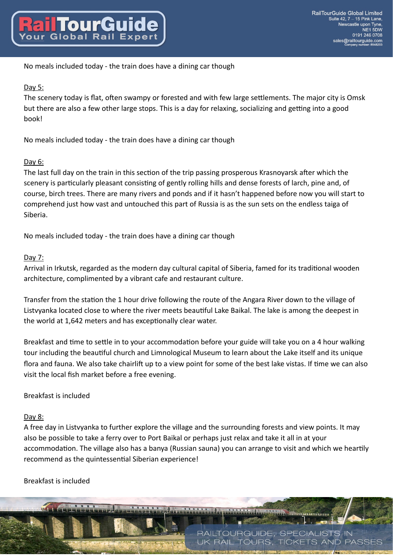No meals included today - the train does have a dining car though

# Day 5:

The scenery today is flat, often swampy or forested and with few large settlements. The major city is Omsk but there are also a few other large stops. This is a day for relaxing, socializing and getting into a good book!

No meals included today - the train does have a dining car though

## Day 6:

The last full day on the train in this section of the trip passing prosperous Krasnoyarsk after which the scenery is particularly pleasant consisting of gently rolling hills and dense forests of larch, pine and, of course, birch trees. There are many rivers and ponds and if it hasn't happened before now you will start to comprehend just how vast and untouched this part of Russia is as the sun sets on the endless taiga of Siberia.

No meals included today - the train does have a dining car though

### Day 7:

Arrival in Irkutsk, regarded as the modern day cultural capital of Siberia, famed for its traditional wooden architecture, complimented by a vibrant cafe and restaurant culture.

Transfer from the station the 1 hour drive following the route of the Angara River down to the village of Listy anka located close to where the river meets beautiful Lake Baikal. The lake is among the deepest in the world at 1,642 meters and has exceptionally clear water.

Breakfast and time to settle in to your accommodation before your guide will take you on a 4 hour walking tour including the beautiful church and Limnological Museum to learn about the Lake itself and its unique flora and fauna. We also take chairlift up to a view point for some of the best lake vistas. If time we can also visit the local fish market before a free evening.

### Breakfast is included

### Day 8:

A free day in Listvyanka to further explore the village and the surrounding forests and view points. It may also be possible to take a ferry over to Port Baikal or perhaps just relax and take it all in at your accommodation. The village also has a banya (Russian sauna) you can arrange to visit and which we heartily recommend as the quintessential Siberian experience!

### Breakfast is included

RAILTOURGUIDE, SPECIALISTS IN **RAIL TOURS, TICKETS PASSES** 

**Dimminion**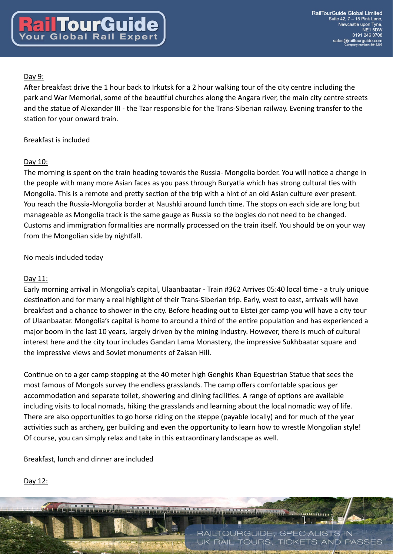# Day 9:

After breakfast drive the 1 hour back to Irkutsk for a 2 hour walking tour of the city centre including the park and War Memorial, some of the beautiful churches along the Angara river, the main city centre streets and the statue of Alexander III - the Tzar responsible for the Trans-Siberian railway. Evening transfer to the station for your onward train.

# Breakfast is included

# Day 10:

The morning is spent on the train heading towards the Russia- Mongolia border. You will notice a change in the people with many more Asian faces as you pass through Buryatia which has strong cultural ties with Mongolia. This is a remote and pretty section of the trip with a hint of an old Asian culture ever present. You reach the Russia-Mongolia border at Naushki around lunch time. The stops on each side are long but manageable as Mongolia track is the same gauge as Russia so the bogies do not need to be changed. Customs and immigration formalities are normally processed on the train itself. You should be on your way from the Mongolian side by nightfall.

# No meals included today

# Day 11:

Early morning arrival in Mongolia's capital, Ulaanbaatar - Train #362 Arrives 05:40 local time - a truly unique destination and for many a real highlight of their Trans-Siberian trip. Early, west to east, arrivals will have breakfast and a chance to shower in the city. Before heading out to Elstei ger camp you will have a city tour of Ulaanbaatar. Mongolia's capital is home to around a third of the entire population and has experienced a major boom in the last 10 years, largely driven by the mining industry. However, there is much of cultural interest here and the city tour includes Gandan Lama Monastery, the impressive Sukhbaatar square and the impressive views and Soviet monuments of Zaisan Hill.

Continue on to a ger camp stopping at the 40 meter high Genghis Khan Equestrian Statue that sees the most famous of Mongols survey the endless grasslands. The camp offers comfortable spacious ger accommodation and separate toilet, showering and dining facilities. A range of options are available including visits to local nomads, hiking the grasslands and learning about the local nomadic way of life. There are also opportunities to go horse riding on the steppe (payable locally) and for much of the year activities such as archery, ger building and even the opportunity to learn how to wrestle Mongolian style! Of course, you can simply relax and take in this extraordinary landscape as well.

Breakfast, lunch and dinner are included

# Day 12:

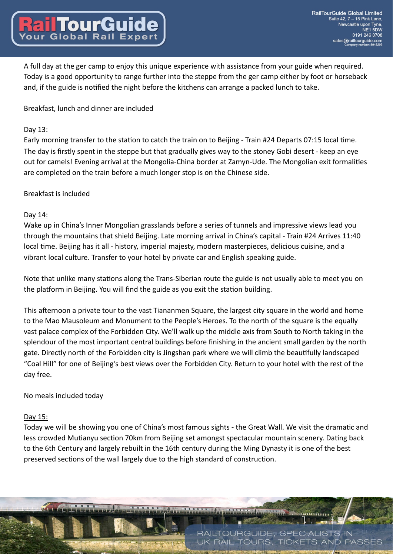A full day at the ger camp to enjoy this unique experience with assistance from your guide when required. Today is a good opportunity to range further into the steppe from the ger camp either by foot or horseback and, if the guide is notified the night before the kitchens can arrange a packed lunch to take.

Breakfast, lunch and dinner are included

#### Day 13:

Early morning transfer to the station to catch the train on to Beijing - Train #24 Departs 07:15 local time. The day is firstly spent in the steppe but that gradually gives way to the stoney Gobi desert - keep an eye out for camels! Evening arrival at the Mongolia-China border at Zamyn-Ude. The Mongolian exit formalities are completed on the train before a much longer stop is on the Chinese side.

### Breakfast is included

#### Day 14:

Wake up in China's Inner Mongolian grasslands before a series of tunnels and impressive views lead you through the mountains that shield Beijing. Late morning arrival in China's capital - Train #24 Arrives 11:40 local time. Beijing has it all - history, imperial majesty, modern masterpieces, delicious cuisine, and a vibrant local culture. Transfer to your hotel by private car and English speaking guide.

Note that unlike many stations along the Trans-Siberian route the guide is not usually able to meet you on the platform in Beijing. You will find the guide as you exit the station building.

This afternoon a private tour to the vast Tiananmen Square, the largest city square in the world and home to the Mao Mausoleum and Monument to the People's Heroes. To the north of the square is the equally vast palace complex of the Forbidden City. We'll walk up the middle axis from South to North taking in the splendour of the most important central buildings before finishing in the ancient small garden by the north gate. Directly north of the Forbidden city is Jingshan park where we will climb the beautifully landscaped "Coal Hill" for one of Beijing's best views over the Forbidden City. Return to your hotel with the rest of the day free.

### No meals included today

#### Day 15:

Today we will be showing you one of China's most famous sights - the Great Wall. We visit the dramatic and less crowded Mutianyu section 70km from Beijing set amongst spectacular mountain scenery. Dating back to the 6th Century and largely rebuilt in the 16th century during the Ming Dynasty it is one of the best preserved sections of the wall largely due to the high standard of construction.

**Dimminion** 

**RAIL TOURS. TICKETS AND PASSES** 

RAILTOURGUIDE, SPECIALISTS IN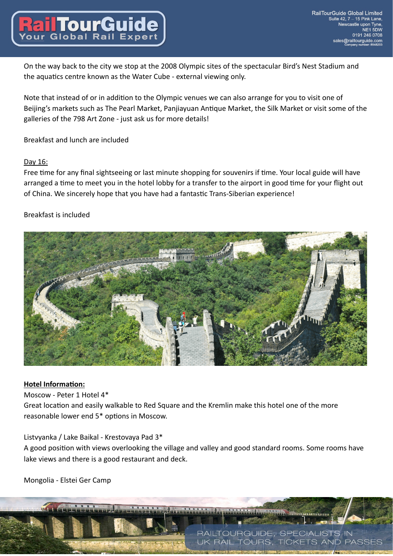On the way back to the city we stop at the 2008 Olympic sites of the spectacular Bird's Nest Stadium and the aquatics centre known as the Water Cube - external viewing only.

Note that instead of or in addition to the Olympic venues we can also arrange for you to visit one of Beijing's markets such as The Pearl Market, Panjiayuan Antique Market, the Silk Market or visit some of the galleries of the 798 Art Zone - just ask us for more details!

### Breakfast and lunch are included

### Day 16:

Free time for any final sightseeing or last minute shopping for souvenirs if time. Your local guide will have arranged a time to meet you in the hotel lobby for a transfer to the airport in good time for your flight out of China. We sincerely hope that you have had a fantastic Trans-Siberian experience!

## Breakfast is included



### **Hotel Information:**

Moscow - Peter 1 Hotel 4\*

Great location and easily walkable to Red Square and the Kremlin make this hotel one of the more reasonable lower end 5\* options in Moscow.

### Listvyanka / Lake Baikal - Krestovaya Pad 3\*

A good position with views overlooking the village and valley and good standard rooms. Some rooms have lake views and there is a good restaurant and deck.

**THEOREMANN** 

**RAIL TOURS. TICKETS AND PASSES** 

RAILTOURGUIDE, SPECIALISTS IN

Mongolia - Elstei Ger Camp